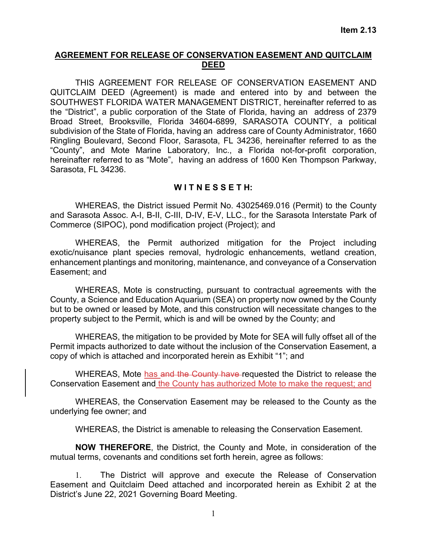## **AGREEMENT FOR RELEASE OF CONSERVATION EASEMENT AND QUITCLAIM DEED**

THIS AGREEMENT FOR RELEASE OF CONSERVATION EASEMENT AND QUITCLAIM DEED (Agreement) is made and entered into by and between the SOUTHWEST FLORIDA WATER MANAGEMENT DISTRICT, hereinafter referred to as the "District", a public corporation of the State of Florida, having an address of 2379 Broad Street, Brooksville, Florida 34604-6899, SARASOTA COUNTY, a political subdivision of the State of Florida, having an address care of County Administrator, 1660 Ringling Boulevard, Second Floor, Sarasota, FL 34236, hereinafter referred to as the "County", and Mote Marine Laboratory, Inc., a Florida not-for-profit corporation, hereinafter referred to as "Mote", having an address of 1600 Ken Thompson Parkway, Sarasota, FL 34236.

## **W I T N E S S E T H:**

WHEREAS, the District issued Permit No. 43025469.016 (Permit) to the County and Sarasota Assoc. A-I, B-II, C-III, D-IV, E-V, LLC., for the Sarasota Interstate Park of Commerce (SIPOC), pond modification project (Project); and

WHEREAS, the Permit authorized mitigation for the Project including exotic/nuisance plant species removal, hydrologic enhancements, wetland creation, enhancement plantings and monitoring, maintenance, and conveyance of a Conservation Easement; and

WHEREAS, Mote is constructing, pursuant to contractual agreements with the County, a Science and Education Aquarium (SEA) on property now owned by the County but to be owned or leased by Mote, and this construction will necessitate changes to the property subject to the Permit, which is and will be owned by the County; and

WHEREAS, the mitigation to be provided by Mote for SEA will fully offset all of the Permit impacts authorized to date without the inclusion of the Conservation Easement, a copy of which is attached and incorporated herein as Exhibit "1"; and

WHEREAS, Mote has and the County have requested the District to release the Conservation Easement and the County has authorized Mote to make the request; and

WHEREAS, the Conservation Easement may be released to the County as the underlying fee owner; and

WHEREAS, the District is amenable to releasing the Conservation Easement.

**NOW THEREFORE**, the District, the County and Mote, in consideration of the mutual terms, covenants and conditions set forth herein, agree as follows:

1. The District will approve and execute the Release of Conservation Easement and Quitclaim Deed attached and incorporated herein as Exhibit 2 at the District's June 22, 2021 Governing Board Meeting.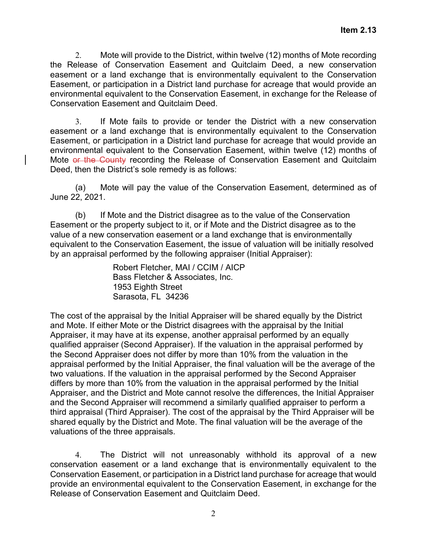2. Mote will provide to the District, within twelve (12) months of Mote recording the Release of Conservation Easement and Quitclaim Deed, a new conservation easement or a land exchange that is environmentally equivalent to the Conservation Easement, or participation in a District land purchase for acreage that would provide an environmental equivalent to the Conservation Easement, in exchange for the Release of Conservation Easement and Quitclaim Deed.

3. If Mote fails to provide or tender the District with a new conservation easement or a land exchange that is environmentally equivalent to the Conservation Easement, or participation in a District land purchase for acreage that would provide an environmental equivalent to the Conservation Easement, within twelve (12) months of Mote or the County recording the Release of Conservation Easement and Quitclaim Deed, then the District's sole remedy is as follows:

(a) Mote will pay the value of the Conservation Easement, determined as of June 22, 2021.

(b) If Mote and the District disagree as to the value of the Conservation Easement or the property subject to it, or if Mote and the District disagree as to the value of a new conservation easement or a land exchange that is environmentally equivalent to the Conservation Easement, the issue of valuation will be initially resolved by an appraisal performed by the following appraiser (Initial Appraiser):

> Robert Fletcher, MAI / CCIM / AICP Bass Fletcher & Associates, Inc. 1953 Eighth Street Sarasota, FL 34236

The cost of the appraisal by the Initial Appraiser will be shared equally by the District and Mote. If either Mote or the District disagrees with the appraisal by the Initial Appraiser, it may have at its expense, another appraisal performed by an equally qualified appraiser (Second Appraiser). If the valuation in the appraisal performed by the Second Appraiser does not differ by more than 10% from the valuation in the appraisal performed by the Initial Appraiser, the final valuation will be the average of the two valuations. If the valuation in the appraisal performed by the Second Appraiser differs by more than 10% from the valuation in the appraisal performed by the Initial Appraiser, and the District and Mote cannot resolve the differences, the Initial Appraiser and the Second Appraiser will recommend a similarly qualified appraiser to perform a third appraisal (Third Appraiser). The cost of the appraisal by the Third Appraiser will be shared equally by the District and Mote. The final valuation will be the average of the valuations of the three appraisals.

4. The District will not unreasonably withhold its approval of a new conservation easement or a land exchange that is environmentally equivalent to the Conservation Easement, or participation in a District land purchase for acreage that would provide an environmental equivalent to the Conservation Easement, in exchange for the Release of Conservation Easement and Quitclaim Deed.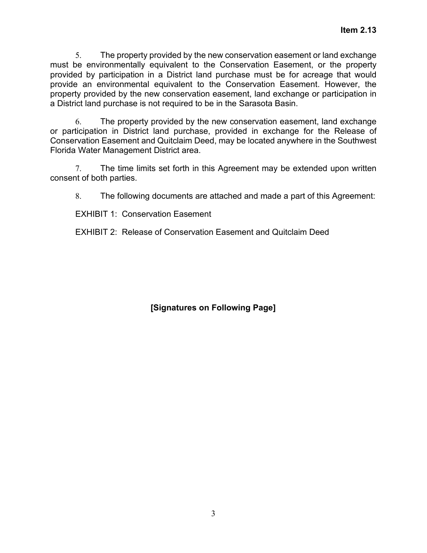5. The property provided by the new conservation easement or land exchange must be environmentally equivalent to the Conservation Easement, or the property provided by participation in a District land purchase must be for acreage that would provide an environmental equivalent to the Conservation Easement. However, the property provided by the new conservation easement, land exchange or participation in a District land purchase is not required to be in the Sarasota Basin.

6. The property provided by the new conservation easement, land exchange or participation in District land purchase, provided in exchange for the Release of Conservation Easement and Quitclaim Deed, may be located anywhere in the Southwest Florida Water Management District area.

7. The time limits set forth in this Agreement may be extended upon written consent of both parties.

8. The following documents are attached and made a part of this Agreement:

EXHIBIT 1: Conservation Easement

EXHIBIT 2: Release of Conservation Easement and Quitclaim Deed

**[Signatures on Following Page]**